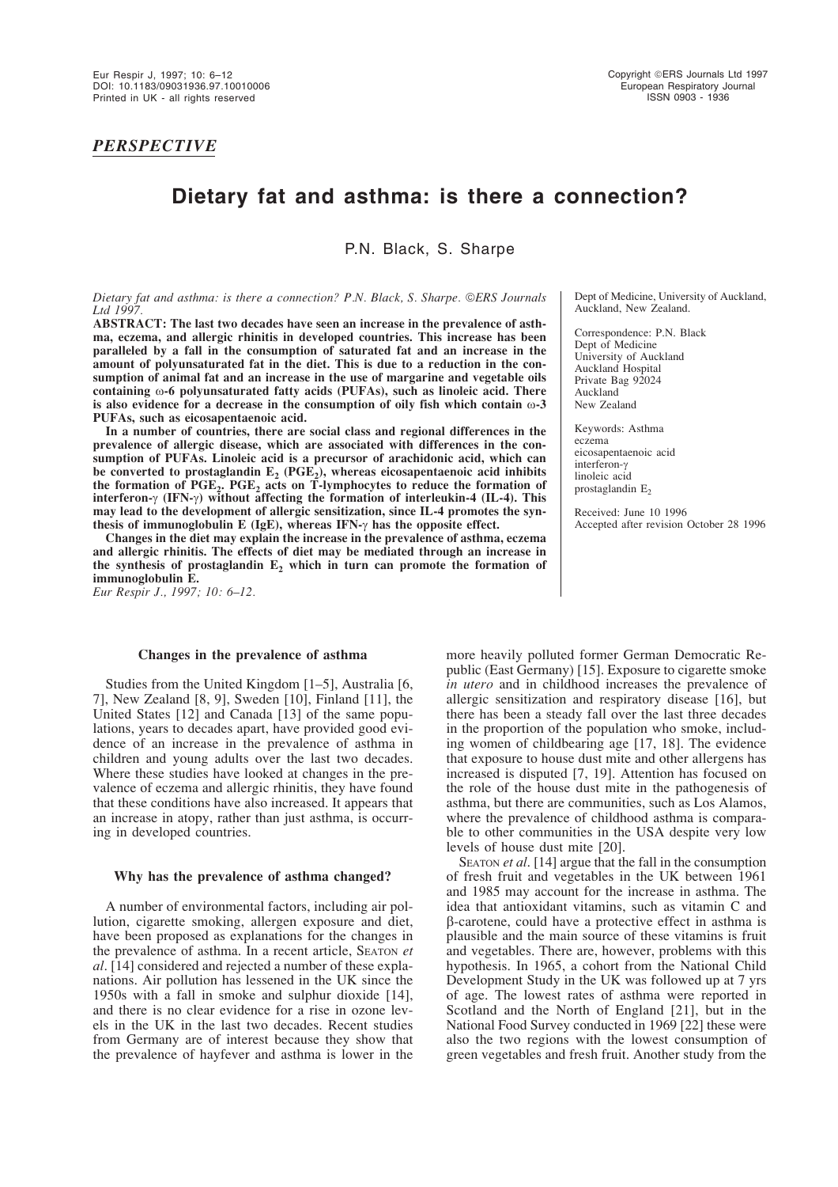*PERSPECTIVE*

# **Dietary fat and asthma: is there a connection?**

P.N. Black, S. Sharpe

*Dietary fat and asthma: is there a connection? P.N. Black, S. Sharpe. ERS Journals Ltd 1997.*

**ABSTRACT: The last two decades have seen an increase in the prevalence of asthma, eczema, and allergic rhinitis in developed countries. This increase has been paralleled by a fall in the consumption of saturated fat and an increase in the amount of polyunsaturated fat in the diet. This is due to a reduction in the consumption of animal fat and an increase in the use of margarine and vegetable oils containing** ω**-6 polyunsaturated fatty acids (PUFAs), such as linoleic acid. There is also evidence for a decrease in the consumption of oily fish which contain**  $\omega$ **-3 PUFAs, such as eicosapentaenoic acid.**

**In a number of countries, there are social class and regional differences in the prevalence of allergic disease, which are associated with differences in the consumption of PUFAs. Linoleic acid is a precursor of arachidonic acid, which can** be converted to prostaglandin  $E_2$  (PGE<sub>2</sub>), whereas eicosapentaenoic acid inhibits the formation of  $PGE_2$ .  $PGE_2$  acts on  $\overline{T}$ -lymphocytes to reduce the formation of **interferon-**γ **(IFN-**γ**) without affecting the formation of interleukin-4 (IL-4). This may lead to the development of allergic sensitization, since IL-4 promotes the synthesis of immunoglobulin E (IgE), whereas IFN-**γ **has the opposite effect.**

**Changes in the diet may explain the increase in the prevalence of asthma, eczema and allergic rhinitis. The effects of diet may be mediated through an increase in** the synthesis of prostaglandin  $E<sub>2</sub>$  which in turn can promote the formation of **immunoglobulin E.**

*Eur Respir J., 1997; 10: 6–12.*

# **Changes in the prevalence of asthma**

Studies from the United Kingdom [1–5], Australia [6, 7], New Zealand [8, 9], Sweden [10], Finland [11], the United States [12] and Canada [13] of the same populations, years to decades apart, have provided good evidence of an increase in the prevalence of asthma in children and young adults over the last two decades. Where these studies have looked at changes in the prevalence of eczema and allergic rhinitis, they have found that these conditions have also increased. It appears that an increase in atopy, rather than just asthma, is occurring in developed countries.

#### **Why has the prevalence of asthma changed?**

A number of environmental factors, including air pollution, cigarette smoking, allergen exposure and diet, have been proposed as explanations for the changes in the prevalence of asthma. In a recent article, SEATON *et al*. [14] considered and rejected a number of these explanations. Air pollution has lessened in the UK since the 1950s with a fall in smoke and sulphur dioxide [14], and there is no clear evidence for a rise in ozone levels in the UK in the last two decades. Recent studies from Germany are of interest because they show that the prevalence of hayfever and asthma is lower in the

Dept of Medicine, University of Auckland, Auckland, New Zealand.

Correspondence: P.N. Black Dept of Medicine University of Auckland Auckland Hospital Private Bag 92024 Auckland New Zealand

Keywords: Asthma eczema eicosapentaenoic acid interferon-γ linoleic acid prostaglandin E<sub>2</sub>

Received: June 10 1996 Accepted after revision October 28 1996

more heavily polluted former German Democratic Republic (East Germany) [15]. Exposure to cigarette smoke *in utero* and in childhood increases the prevalence of allergic sensitization and respiratory disease [16], but there has been a steady fall over the last three decades in the proportion of the population who smoke, including women of childbearing age [17, 18]. The evidence that exposure to house dust mite and other allergens has increased is disputed [7, 19]. Attention has focused on the role of the house dust mite in the pathogenesis of asthma, but there are communities, such as Los Alamos, where the prevalence of childhood asthma is comparable to other communities in the USA despite very low levels of house dust mite [20].

SEATON *et al*. [14] argue that the fall in the consumption of fresh fruit and vegetables in the UK between 1961 and 1985 may account for the increase in asthma. The idea that antioxidant vitamins, such as vitamin C and β-carotene, could have a protective effect in asthma is plausible and the main source of these vitamins is fruit and vegetables. There are, however, problems with this hypothesis. In 1965, a cohort from the National Child Development Study in the UK was followed up at 7 yrs of age. The lowest rates of asthma were reported in Scotland and the North of England [21], but in the National Food Survey conducted in 1969 [22] these were also the two regions with the lowest consumption of green vegetables and fresh fruit. Another study from the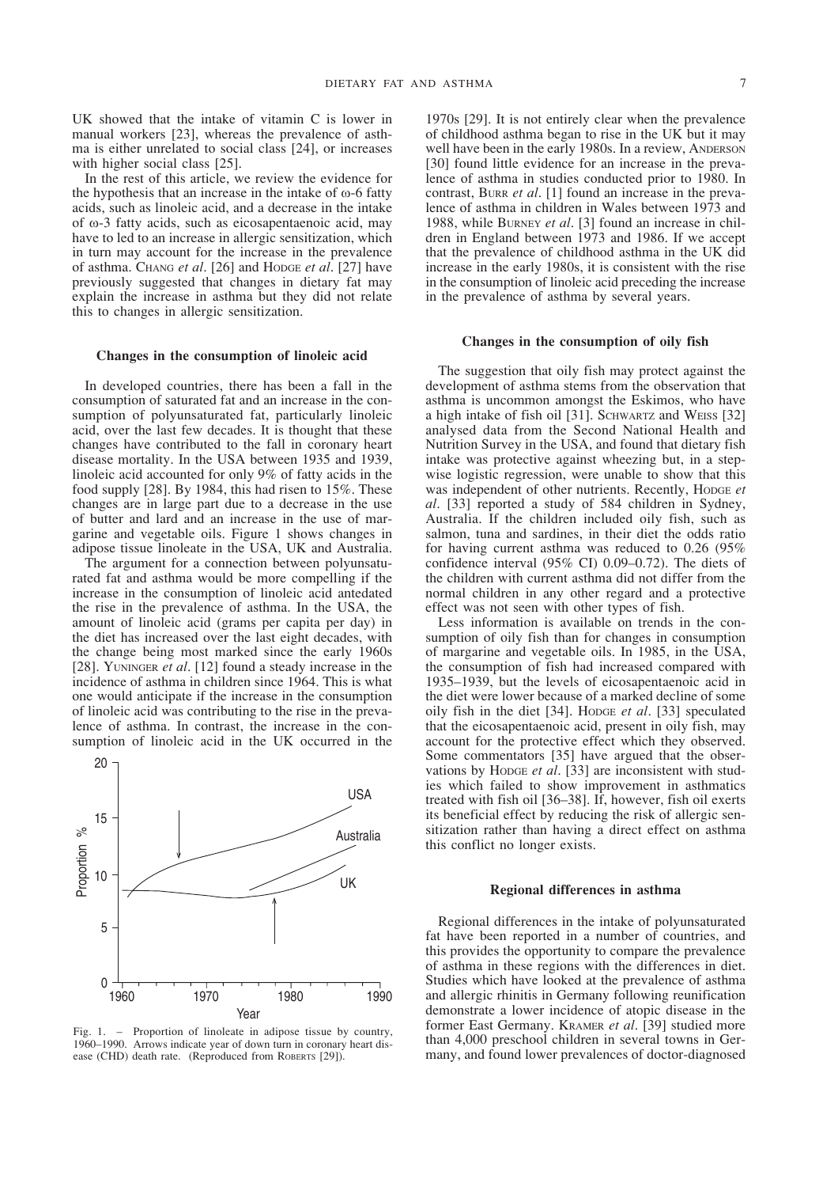UK showed that the intake of vitamin C is lower in manual workers [23], whereas the prevalence of asthma is either unrelated to social class [24], or increases with higher social class [25].

In the rest of this article, we review the evidence for the hypothesis that an increase in the intake of  $\omega$ -6 fatty acids, such as linoleic acid, and a decrease in the intake of ω-3 fatty acids, such as eicosapentaenoic acid, may have to led to an increase in allergic sensitization, which in turn may account for the increase in the prevalence of asthma. CHANG *et al*. [26] and HODGE *et al*. [27] have previously suggested that changes in dietary fat may explain the increase in asthma but they did not relate this to changes in allergic sensitization.

#### **Changes in the consumption of linoleic acid**

In developed countries, there has been a fall in the consumption of saturated fat and an increase in the consumption of polyunsaturated fat, particularly linoleic acid, over the last few decades. It is thought that these changes have contributed to the fall in coronary heart disease mortality. In the USA between 1935 and 1939, linoleic acid accounted for only 9% of fatty acids in the food supply [28]. By 1984, this had risen to 15%. These changes are in large part due to a decrease in the use of butter and lard and an increase in the use of margarine and vegetable oils. Figure 1 shows changes in adipose tissue linoleate in the USA, UK and Australia.

The argument for a connection between polyunsaturated fat and asthma would be more compelling if the increase in the consumption of linoleic acid antedated the rise in the prevalence of asthma. In the USA, the amount of linoleic acid (grams per capita per day) in the diet has increased over the last eight decades, with the change being most marked since the early 1960s [28]. YUNINGER *et al*. [12] found a steady increase in the incidence of asthma in children since 1964. This is what one would anticipate if the increase in the consumption of linoleic acid was contributing to the rise in the prevalence of asthma. In contrast, the increase in the consumption of linoleic acid in the UK occurred in the



- Proportion of linoleate in adipose tissue by country, 1960–1990. Arrows indicate year of down turn in coronary heart disease (CHD) death rate. (Reproduced from ROBERTS [29]).

1970s [29]. It is not entirely clear when the prevalence of childhood asthma began to rise in the UK but it may well have been in the early 1980s. In a review, ANDERSON [30] found little evidence for an increase in the prevalence of asthma in studies conducted prior to 1980. In contrast, BURR *et al*. [1] found an increase in the prevalence of asthma in children in Wales between 1973 and 1988, while BURNEY *et al*. [3] found an increase in children in England between 1973 and 1986. If we accept that the prevalence of childhood asthma in the UK did increase in the early 1980s, it is consistent with the rise in the consumption of linoleic acid preceding the increase in the prevalence of asthma by several years.

# **Changes in the consumption of oily fish**

The suggestion that oily fish may protect against the development of asthma stems from the observation that asthma is uncommon amongst the Eskimos, who have a high intake of fish oil [31]. SCHWARTZ and WEISS [32] analysed data from the Second National Health and Nutrition Survey in the USA, and found that dietary fish intake was protective against wheezing but, in a stepwise logistic regression, were unable to show that this was independent of other nutrients. Recently, HODGE *et al*. [33] reported a study of 584 children in Sydney, Australia. If the children included oily fish, such as salmon, tuna and sardines, in their diet the odds ratio for having current asthma was reduced to 0.26 (95% confidence interval (95% CI) 0.09–0.72). The diets of the children with current asthma did not differ from the normal children in any other regard and a protective effect was not seen with other types of fish.

Less information is available on trends in the consumption of oily fish than for changes in consumption of margarine and vegetable oils. In 1985, in the USA, the consumption of fish had increased compared with 1935–1939, but the levels of eicosapentaenoic acid in the diet were lower because of a marked decline of some oily fish in the diet [34]. HODGE *et al*. [33] speculated that the eicosapentaenoic acid, present in oily fish, may account for the protective effect which they observed. Some commentators [35] have argued that the observations by HODGE *et al*. [33] are inconsistent with studies which failed to show improvement in asthmatics treated with fish oil [36–38]. If, however, fish oil exerts its beneficial effect by reducing the risk of allergic sensitization rather than having a direct effect on asthma this conflict no longer exists.

## **Regional differences in asthma**

Regional differences in the intake of polyunsaturated fat have been reported in a number of countries, and this provides the opportunity to compare the prevalence of asthma in these regions with the differences in diet. Studies which have looked at the prevalence of asthma and allergic rhinitis in Germany following reunification demonstrate a lower incidence of atopic disease in the former East Germany. KRAMER *et al*. [39] studied more than 4,000 preschool children in several towns in Germany, and found lower prevalences of doctor-diagnosed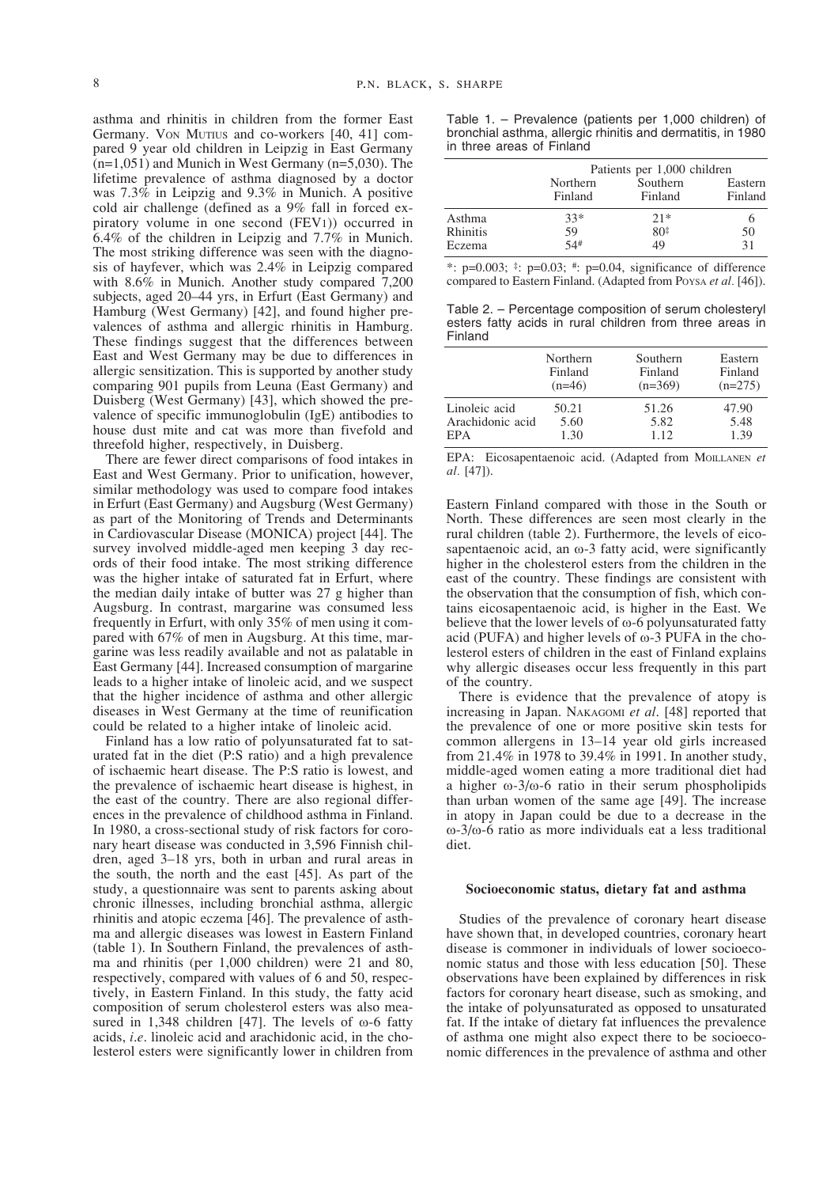asthma and rhinitis in children from the former East Germany. VON MUTIUS and co-workers [40, 41] compared 9 year old children in Leipzig in East Germany  $(n=1,051)$  and Munich in West Germany  $(n=5,030)$ . The lifetime prevalence of asthma diagnosed by a doctor was 7.3% in Leipzig and 9.3% in Munich. A positive cold air challenge (defined as a 9% fall in forced expiratory volume in one second (FEV1)) occurred in 6.4% of the children in Leipzig and 7.7% in Munich. The most striking difference was seen with the diagnosis of hayfever, which was 2.4% in Leipzig compared with 8.6% in Munich. Another study compared 7,200 subjects, aged 20–44 yrs, in Erfurt (East Germany) and Hamburg (West Germany) [42], and found higher prevalences of asthma and allergic rhinitis in Hamburg. These findings suggest that the differences between East and West Germany may be due to differences in allergic sensitization. This is supported by another study comparing 901 pupils from Leuna (East Germany) and Duisberg (West Germany) [43], which showed the prevalence of specific immunoglobulin (IgE) antibodies to house dust mite and cat was more than fivefold and threefold higher, respectively, in Duisberg.

There are fewer direct comparisons of food intakes in East and West Germany. Prior to unification, however, similar methodology was used to compare food intakes in Erfurt (East Germany) and Augsburg (West Germany) as part of the Monitoring of Trends and Determinants in Cardiovascular Disease (MONICA) project [44]. The survey involved middle-aged men keeping 3 day records of their food intake. The most striking difference was the higher intake of saturated fat in Erfurt, where the median daily intake of butter was 27 g higher than Augsburg. In contrast, margarine was consumed less frequently in Erfurt, with only 35% of men using it compared with 67% of men in Augsburg. At this time, margarine was less readily available and not as palatable in East Germany [44]. Increased consumption of margarine leads to a higher intake of linoleic acid, and we suspect that the higher incidence of asthma and other allergic diseases in West Germany at the time of reunification could be related to a higher intake of linoleic acid.

Finland has a low ratio of polyunsaturated fat to saturated fat in the diet (P:S ratio) and a high prevalence of ischaemic heart disease. The P:S ratio is lowest, and the prevalence of ischaemic heart disease is highest, in the east of the country. There are also regional differences in the prevalence of childhood asthma in Finland. In 1980, a cross-sectional study of risk factors for coronary heart disease was conducted in 3,596 Finnish children, aged 3–18 yrs, both in urban and rural areas in the south, the north and the east [45]. As part of the study, a questionnaire was sent to parents asking about chronic illnesses, including bronchial asthma, allergic rhinitis and atopic eczema [46]. The prevalence of asthma and allergic diseases was lowest in Eastern Finland (table 1). In Southern Finland, the prevalences of asthma and rhinitis (per 1,000 children) were 21 and 80, respectively, compared with values of 6 and 50, respectively, in Eastern Finland. In this study, the fatty acid composition of serum cholesterol esters was also measured in 1,348 children [47]. The levels of  $\omega$ -6 fatty acids, *i*.*e*. linoleic acid and arachidonic acid, in the cholesterol esters were significantly lower in children from

Table 1. – Prevalence (patients per 1,000 children) of bronchial asthma, allergic rhinitis and dermatitis, in 1980 in three areas of Finland

|          | Patients per 1,000 children |                     |                    |
|----------|-----------------------------|---------------------|--------------------|
|          | Northern<br>Finland         | Southern<br>Finland | Eastern<br>Finland |
| Asthma   | $33*$                       | $21*$               |                    |
| Rhinitis | 59                          | $80*$               | 50                 |
| Eczema   | 54#                         | 49                  | 31                 |

\*:  $p=0.003$ ;  $\pm$ :  $p=0.03$ ;  $\pm$ :  $p=0.04$ , significance of difference compared to Eastern Finland. (Adapted from POYSA *et al.* [46]).

Table 2. – Percentage composition of serum cholesteryl esters fatty acids in rural children from three areas in Finland

|                  | Northern | Southern  | Eastern   |
|------------------|----------|-----------|-----------|
|                  | Finland  | Finland   | Finland   |
|                  | $(n=46)$ | $(n=369)$ | $(n=275)$ |
| Linoleic acid    | 50.21    | 51.26     | 47.90     |
| Arachidonic acid | 5.60     | 5.82      | 5.48      |
| EPA              | 1.30     | 1.12      | 1.39      |

EPA: Eicosapentaenoic acid. (Adapted from MOILLANEN *et al.* [47]).

Eastern Finland compared with those in the South or North. These differences are seen most clearly in the rural children (table 2). Furthermore, the levels of eicosapentaenoic acid, an  $\omega$ -3 fatty acid, were significantly higher in the cholesterol esters from the children in the east of the country. These findings are consistent with the observation that the consumption of fish, which contains eicosapentaenoic acid, is higher in the East. We believe that the lower levels of  $\omega$ -6 polyunsaturated fatty acid (PUFA) and higher levels of ω-3 PUFA in the cholesterol esters of children in the east of Finland explains why allergic diseases occur less frequently in this part of the country.

There is evidence that the prevalence of atopy is increasing in Japan. NAKAGOMI *et al*. [48] reported that the prevalence of one or more positive skin tests for common allergens in 13–14 year old girls increased from 21.4% in 1978 to 39.4% in 1991. In another study, middle-aged women eating a more traditional diet had a higher ω-3/ω-6 ratio in their serum phospholipids than urban women of the same age [49]. The increase in atopy in Japan could be due to a decrease in the ω-3/ω-6 ratio as more individuals eat a less traditional diet.

## **Socioeconomic status, dietary fat and asthma**

Studies of the prevalence of coronary heart disease have shown that, in developed countries, coronary heart disease is commoner in individuals of lower socioeconomic status and those with less education [50]. These observations have been explained by differences in risk factors for coronary heart disease, such as smoking, and the intake of polyunsaturated as opposed to unsaturated fat. If the intake of dietary fat influences the prevalence of asthma one might also expect there to be socioeconomic differences in the prevalence of asthma and other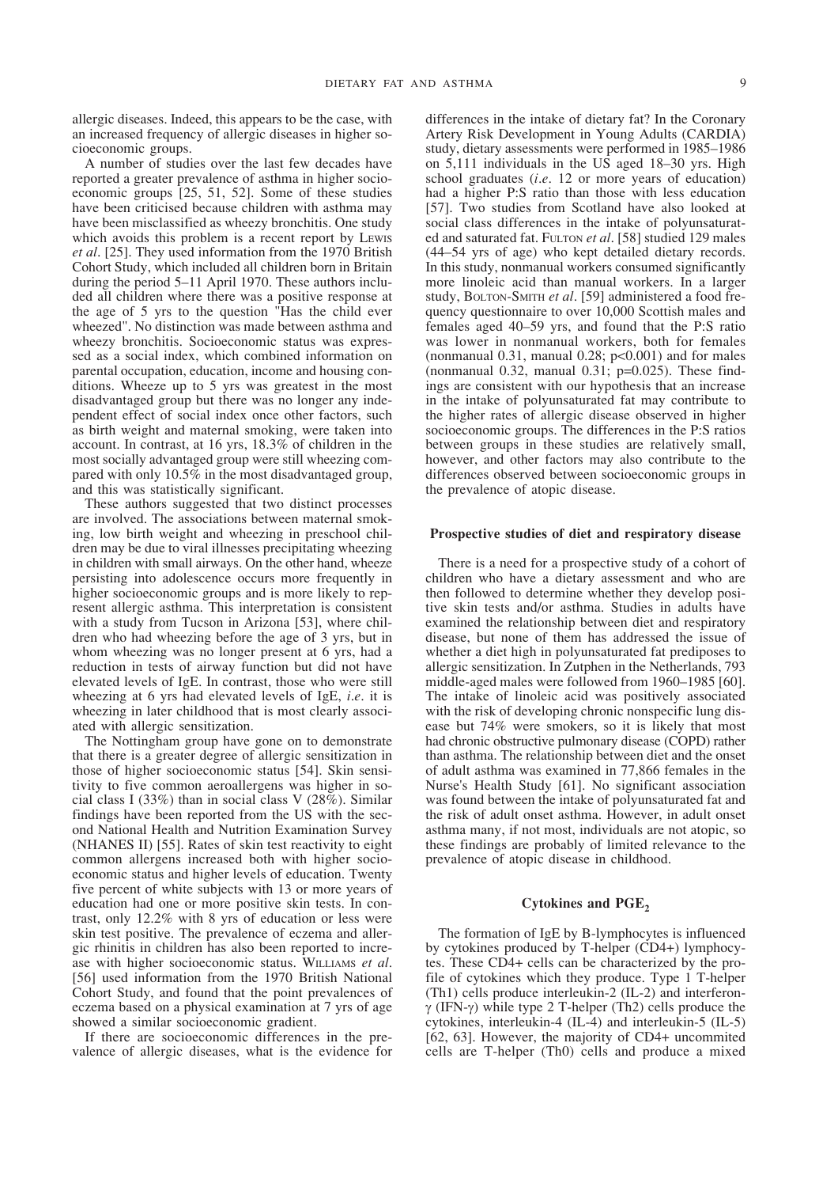allergic diseases. Indeed, this appears to be the case, with an increased frequency of allergic diseases in higher socioeconomic groups.

A number of studies over the last few decades have reported a greater prevalence of asthma in higher socioeconomic groups [25, 51, 52]. Some of these studies have been criticised because children with asthma may have been misclassified as wheezy bronchitis. One study which avoids this problem is a recent report by LEWIS *et al*. [25]. They used information from the 1970 British Cohort Study, which included all children born in Britain during the period 5–11 April 1970. These authors included all children where there was a positive response at the age of 5 yrs to the question "Has the child ever wheezed". No distinction was made between asthma and wheezy bronchitis. Socioeconomic status was expressed as a social index, which combined information on parental occupation, education, income and housing conditions. Wheeze up to 5 yrs was greatest in the most disadvantaged group but there was no longer any independent effect of social index once other factors, such as birth weight and maternal smoking, were taken into account. In contrast, at 16 yrs, 18.3% of children in the most socially advantaged group were still wheezing compared with only 10.5% in the most disadvantaged group, and this was statistically significant.

These authors suggested that two distinct processes are involved. The associations between maternal smoking, low birth weight and wheezing in preschool children may be due to viral illnesses precipitating wheezing in children with small airways. On the other hand, wheeze persisting into adolescence occurs more frequently in higher socioeconomic groups and is more likely to represent allergic asthma. This interpretation is consistent with a study from Tucson in Arizona [53], where children who had wheezing before the age of 3 yrs, but in whom wheezing was no longer present at 6 yrs, had a reduction in tests of airway function but did not have elevated levels of IgE. In contrast, those who were still wheezing at 6 yrs had elevated levels of IgE, *i*.*e*. it is wheezing in later childhood that is most clearly associated with allergic sensitization.

The Nottingham group have gone on to demonstrate that there is a greater degree of allergic sensitization in those of higher socioeconomic status [54]. Skin sensitivity to five common aeroallergens was higher in social class I (33%) than in social class V (28%). Similar findings have been reported from the US with the second National Health and Nutrition Examination Survey (NHANES II) [55]. Rates of skin test reactivity to eight common allergens increased both with higher socioeconomic status and higher levels of education. Twenty five percent of white subjects with 13 or more years of education had one or more positive skin tests. In contrast, only 12.2% with 8 yrs of education or less were skin test positive. The prevalence of eczema and allergic rhinitis in children has also been reported to increase with higher socioeconomic status. WILLIAMS *et al*. [56] used information from the 1970 British National Cohort Study, and found that the point prevalences of eczema based on a physical examination at 7 yrs of age showed a similar socioeconomic gradient.

If there are socioeconomic differences in the prevalence of allergic diseases, what is the evidence for differences in the intake of dietary fat? In the Coronary Artery Risk Development in Young Adults (CARDIA) study, dietary assessments were performed in 1985–1986 on 5,111 individuals in the US aged 18–30 yrs. High school graduates (*i*.*e*. 12 or more years of education) had a higher P:S ratio than those with less education [57]. Two studies from Scotland have also looked at social class differences in the intake of polyunsaturated and saturated fat. FULTON *et al*. [58] studied 129 males (44–54 yrs of age) who kept detailed dietary records. In this study, nonmanual workers consumed significantly more linoleic acid than manual workers. In a larger study, BOLTON-SMITH *et al*. [59] administered a food frequency questionnaire to over 10,000 Scottish males and females aged 40–59 yrs, and found that the P:S ratio was lower in nonmanual workers, both for females (nonmanual 0.31, manual 0.28;  $p<0.001$ ) and for males (nonmanual 0.32, manual 0.31;  $p=0.025$ ). These findings are consistent with our hypothesis that an increase in the intake of polyunsaturated fat may contribute to the higher rates of allergic disease observed in higher socioeconomic groups. The differences in the P:S ratios between groups in these studies are relatively small, however, and other factors may also contribute to the differences observed between socioeconomic groups in the prevalence of atopic disease.

## **Prospective studies of diet and respiratory disease**

There is a need for a prospective study of a cohort of children who have a dietary assessment and who are then followed to determine whether they develop positive skin tests and/or asthma. Studies in adults have examined the relationship between diet and respiratory disease, but none of them has addressed the issue of whether a diet high in polyunsaturated fat prediposes to allergic sensitization. In Zutphen in the Netherlands, 793 middle-aged males were followed from 1960–1985 [60]. The intake of linoleic acid was positively associated with the risk of developing chronic nonspecific lung disease but 74% were smokers, so it is likely that most had chronic obstructive pulmonary disease (COPD) rather than asthma. The relationship between diet and the onset of adult asthma was examined in 77,866 females in the Nurse's Health Study [61]. No significant association was found between the intake of polyunsaturated fat and the risk of adult onset asthma. However, in adult onset asthma many, if not most, individuals are not atopic, so these findings are probably of limited relevance to the prevalence of atopic disease in childhood.

# Cytokines and PGE<sub>2</sub>

The formation of IgE by B-lymphocytes is influenced by cytokines produced by T-helper (CD4+) lymphocytes. These CD4+ cells can be characterized by the profile of cytokines which they produce. Type 1 T-helper (Th1) cells produce interleukin-2 (IL-2) and interferonγ (IFN-γ) while type 2 T-helper (Th2) cells produce the cytokines, interleukin-4 (IL-4) and interleukin-5 (IL-5) [62, 63]. However, the majority of CD4+ uncommited cells are T-helper (Th0) cells and produce a mixed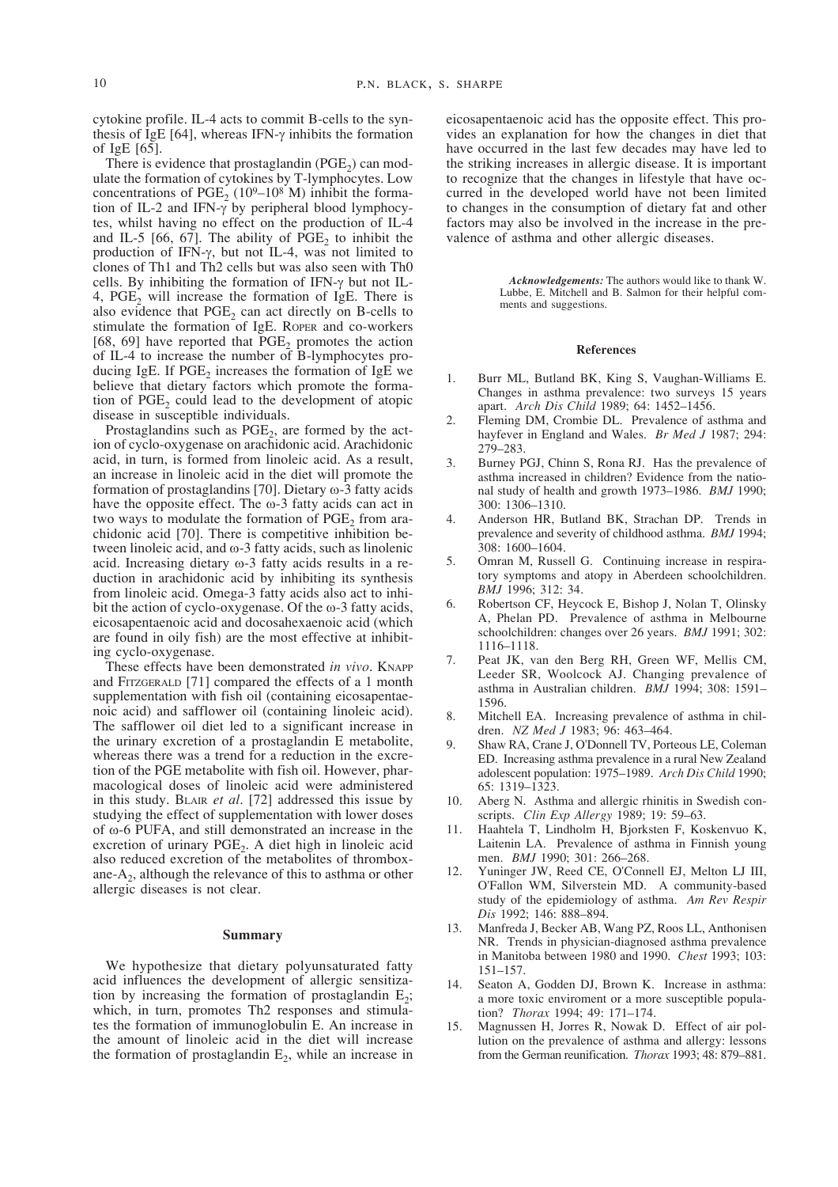cytokine profile. IL-4 acts to commit B-cells to the synthesis of IgE [64], whereas IFN- $\gamma$  inhibits the formation of IgE [65].

There is evidence that prostaglandin  $(PGE<sub>2</sub>)$  can modulate the formation of cytokines by T-lymphocytes. Low concentrations of PGE<sub>2</sub> (109–10<sup>8</sup> M) inhibit the formation of IL-2 and IFN-γ by peripheral blood lymphocytes, whilst having no effect on the production of IL-4 and IL-5 [66, 67]. The ability of  $PGE_2$  to inhibit the production of IFN-γ, but not IL-4, was not limited to clones of Th1 and Th2 cells but was also seen with Th0 cells. By inhibiting the formation of IFN- $\gamma$  but not IL-4, PGE<sub>2</sub> will increase the formation of IgE. There is also evidence that  $PGE<sub>2</sub>$  can act directly on B-cells to stimulate the formation of IgE. ROPER and co-workers [68, 69] have reported that  $\overline{PGE}_2$  promotes the action of IL-4 to increase the number of B-lymphocytes producing IgE. If  $PGE_2$  increases the formation of IgE we believe that dietary factors which promote the formation of PGE<sub>2</sub> could lead to the development of atopic disease in susceptible individuals.

Prostaglandins such as  $PGE<sub>2</sub>$ , are formed by the action of cyclo-oxygenase on arachidonic acid. Arachidonic acid, in turn, is formed from linoleic acid. As a result, an increase in linoleic acid in the diet will promote the formation of prostaglandins [70]. Dietary ω-3 fatty acids have the opposite effect. The ω-3 fatty acids can act in two ways to modulate the formation of  $PGE<sub>2</sub>$  from arachidonic acid [70]. There is competitive inhibition between linoleic acid, and ω-3 fatty acids, such as linolenic acid. Increasing dietary ω-3 fatty acids results in a reduction in arachidonic acid by inhibiting its synthesis from linoleic acid. Omega-3 fatty acids also act to inhibit the action of cyclo-oxygenase. Of the  $\omega$ -3 fatty acids, eicosapentaenoic acid and docosahexaenoic acid (which are found in oily fish) are the most effective at inhibiting cyclo-oxygenase.

These effects have been demonstrated *in vivo*. KNAPP and FITZGERALD [71] compared the effects of a 1 month supplementation with fish oil (containing eicosapentaenoic acid) and safflower oil (containing linoleic acid). The safflower oil diet led to a significant increase in the urinary excretion of a prostaglandin E metabolite, whereas there was a trend for a reduction in the excretion of the PGE metabolite with fish oil. However, pharmacological doses of linoleic acid were administered in this study. BLAIR *et al*. [72] addressed this issue by studying the effect of supplementation with lower doses of ω-6 PUFA, and still demonstrated an increase in the excretion of urinary  $PGE<sub>2</sub>$ . A diet high in linoleic acid also reduced excretion of the metabolites of thromboxane- $A<sub>2</sub>$ , although the relevance of this to asthma or other allergic diseases is not clear.

#### **Summary**

We hypothesize that dietary polyunsaturated fatty acid influences the development of allergic sensitization by increasing the formation of prostaglandin  $E_2$ ; which, in turn, promotes Th2 responses and stimulates the formation of immunoglobulin E. An increase in the amount of linoleic acid in the diet will increase the formation of prostaglandin  $E_2$ , while an increase in

eicosapentaenoic acid has the opposite effect. This provides an explanation for how the changes in diet that have occurred in the last few decades may have led to the striking increases in allergic disease. It is important to recognize that the changes in lifestyle that have occurred in the developed world have not been limited to changes in the consumption of dietary fat and other factors may also be involved in the increase in the prevalence of asthma and other allergic diseases.

> *Acknowledgements:* The authors would like to thank W. Lubbe, E. Mitchell and B. Salmon for their helpful comments and suggestions.

#### **References**

- Burr ML, Butland BK, King S, Vaughan-Williams E. Changes in asthma prevalence: two surveys 15 years apart. *Arch Dis Child* 1989; 64: 1452–1456.
- 2. Fleming DM, Crombie DL. Prevalence of asthma and hayfever in England and Wales. *Br Med J* 1987; 294: 279–283.
- 3. Burney PGJ, Chinn S, Rona RJ. Has the prevalence of asthma increased in children? Evidence from the national study of health and growth 1973–1986. *BMJ* 1990; 300: 1306–1310.
- 4. Anderson HR, Butland BK, Strachan DP. Trends in prevalence and severity of childhood asthma. *BMJ* 1994; 308: 1600–1604.
- 5. Omran M, Russell G. Continuing increase in respiratory symptoms and atopy in Aberdeen schoolchildren. *BMJ* 1996; 312: 34.
- 6. Robertson CF, Heycock E, Bishop J, Nolan T, Olinsky A, Phelan PD. Prevalence of asthma in Melbourne schoolchildren: changes over 26 years. *BMJ* 1991; 302: 1116–1118.
- 7. Peat JK, van den Berg RH, Green WF, Mellis CM, Leeder SR, Woolcock AJ. Changing prevalence of asthma in Australian children. *BMJ* 1994; 308: 1591– 1596.
- 8. Mitchell EA. Increasing prevalence of asthma in children. *NZ Med J* 1983; 96: 463–464.
- 9. Shaw RA, Crane J, O'Donnell TV, Porteous LE, Coleman ED. Increasing asthma prevalence in a rural New Zealand adolescent population: 1975–1989. *Arch Dis Child* 1990; 65: 1319–1323.
- 10. Aberg N. Asthma and allergic rhinitis in Swedish conscripts. *Clin Exp Allergy* 1989; 19: 59–63.
- 11. Haahtela T, Lindholm H, Bjorksten F, Koskenvuo K, Laitenin LA. Prevalence of asthma in Finnish young men. *BMJ* 1990; 301: 266–268.
- 12. Yuninger JW, Reed CE, O'Connell EJ, Melton LJ III, O'Fallon WM, Silverstein MD. A community-based study of the epidemiology of asthma. *Am Rev Respir Dis* 1992; 146: 888–894.
- 13. Manfreda J, Becker AB, Wang PZ, Roos LL, Anthonisen NR. Trends in physician-diagnosed asthma prevalence in Manitoba between 1980 and 1990. *Chest* 1993; 103: 151–157.
- 14. Seaton A, Godden DJ, Brown K. Increase in asthma: a more toxic enviroment or a more susceptible population? *Thorax* 1994; 49: 171–174.
- 15. Magnussen H, Jorres R, Nowak D. Effect of air pollution on the prevalence of asthma and allergy: lessons from the German reunification. *Thorax* 1993; 48: 879–881.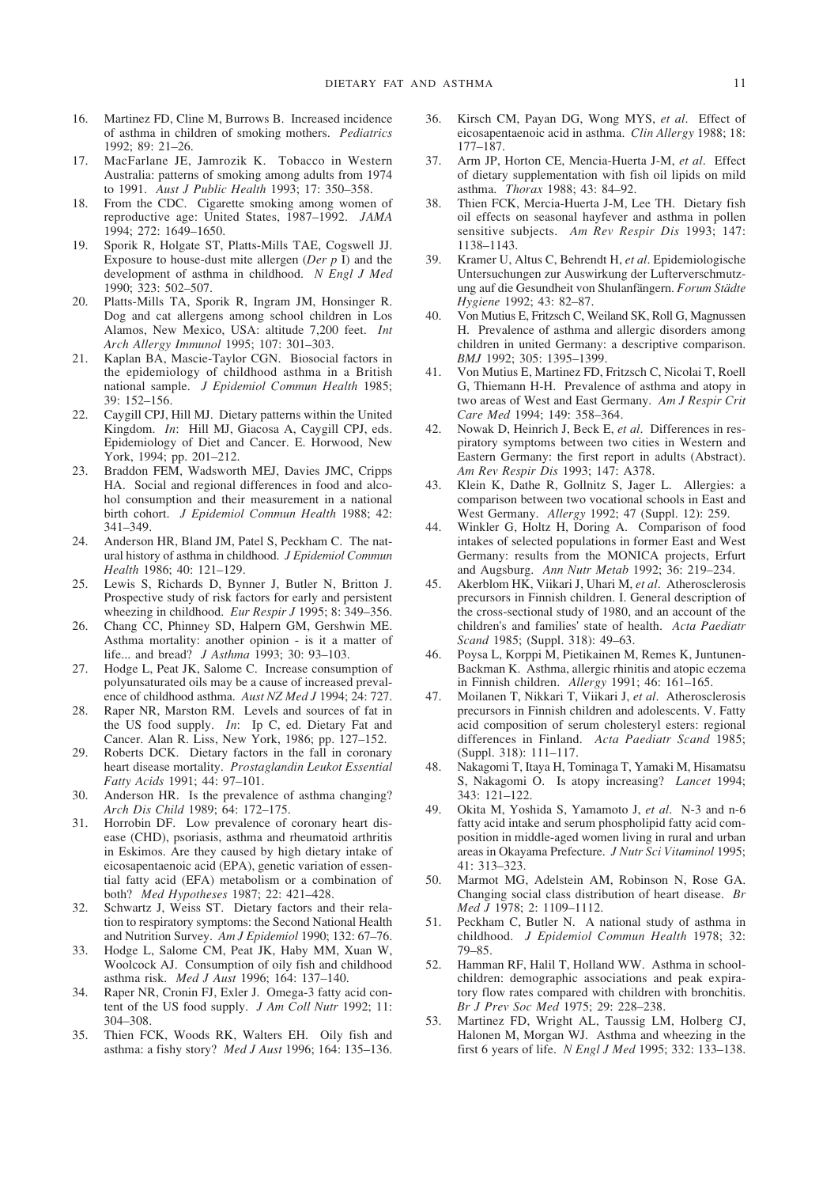- 16. Martinez FD, Cline M, Burrows B. Increased incidence of asthma in children of smoking mothers. *Pediatrics* 1992; 89: 21–26.
- 17. MacFarlane JE, Jamrozik K. Tobacco in Western Australia: patterns of smoking among adults from 1974 to 1991. *Aust J Public Health* 1993; 17: 350–358.
- 18. From the CDC. Cigarette smoking among women of reproductive age: United States, 1987–1992. *JAMA* 1994; 272: 1649–1650.
- 19. Sporik R, Holgate ST, Platts-Mills TAE, Cogswell JJ. Exposure to house-dust mite allergen (*Der p* I) and the development of asthma in childhood. *N Engl J Med* 1990; 323: 502–507.
- 20. Platts-Mills TA, Sporik R, Ingram JM, Honsinger R. Dog and cat allergens among school children in Los Alamos, New Mexico, USA: altitude 7,200 feet. *Int Arch Allergy Immunol* 1995; 107: 301–303.
- 21. Kaplan BA, Mascie-Taylor CGN. Biosocial factors in the epidemiology of childhood asthma in a British national sample. *J Epidemiol Commun Health* 1985;  $39 \cdot 152 - 156$
- 22. Caygill CPJ, Hill MJ. Dietary patterns within the United Kingdom. *In*: Hill MJ, Giacosa A, Caygill CPJ, eds. Epidemiology of Diet and Cancer. E. Horwood, New York, 1994; pp. 201–212.
- 23. Braddon FEM, Wadsworth MEJ, Davies JMC, Cripps HA. Social and regional differences in food and alcohol consumption and their measurement in a national birth cohort. *J Epidemiol Commun Health* 1988; 42: 341–349.
- 24. Anderson HR, Bland JM, Patel S, Peckham C. The natural history of asthma in childhood. *J Epidemiol Commun Health* 1986; 40: 121–129.
- 25. Lewis S, Richards D, Bynner J, Butler N, Britton J. Prospective study of risk factors for early and persistent wheezing in childhood. *Eur Respir J* 1995; 8: 349–356.
- 26. Chang CC, Phinney SD, Halpern GM, Gershwin ME. Asthma mortality: another opinion - is it a matter of life... and bread? *J Asthma* 1993; 30: 93–103.
- 27. Hodge L, Peat JK, Salome C. Increase consumption of polyunsaturated oils may be a cause of increased prevalence of childhood asthma. *Aust NZ Med J* 1994; 24: 727.
- 28. Raper NR, Marston RM. Levels and sources of fat in the US food supply. *In*: Ip C, ed. Dietary Fat and Cancer. Alan R. Liss, New York, 1986; pp. 127–152.
- 29. Roberts DCK. Dietary factors in the fall in coronary heart disease mortality. *Prostaglandin Leukot Essential Fatty Acids* 1991; 44: 97–101.
- 30. Anderson HR. Is the prevalence of asthma changing? *Arch Dis Child* 1989; 64: 172–175.
- 31. Horrobin DF. Low prevalence of coronary heart disease (CHD), psoriasis, asthma and rheumatoid arthritis in Eskimos. Are they caused by high dietary intake of eicosapentaenoic acid (EPA), genetic variation of essential fatty acid (EFA) metabolism or a combination of both? *Med Hypotheses* 1987; 22: 421–428.
- 32. Schwartz J, Weiss ST. Dietary factors and their relation to respiratory symptoms: the Second National Health and Nutrition Survey. *Am J Epidemiol* 1990; 132: 67–76.
- 33. Hodge L, Salome CM, Peat JK, Haby MM, Xuan W, Woolcock AJ. Consumption of oily fish and childhood asthma risk. *Med J Aust* 1996; 164: 137–140.
- 34. Raper NR, Cronin FJ, Exler J. Omega-3 fatty acid content of the US food supply. *J Am Coll Nutr* 1992; 11: 304–308.
- 35. Thien FCK, Woods RK, Walters EH. Oily fish and asthma: a fishy story? *Med J Aust* 1996; 164: 135–136.
- 36. Kirsch CM, Payan DG, Wong MYS, *et al*. Effect of eicosapentaenoic acid in asthma. *Clin Allergy* 1988; 18: 177–187.
- 37. Arm JP, Horton CE, Mencia-Huerta J-M, *et al*. Effect of dietary supplementation with fish oil lipids on mild asthma. *Thorax* 1988; 43: 84–92.
- 38. Thien FCK, Mercia-Huerta J-M, Lee TH. Dietary fish oil effects on seasonal hayfever and asthma in pollen sensitive subjects. *Am Rev Respir Dis* 1993; 147: 1138–1143.
- 39. Kramer U, Altus C, Behrendt H, *et al*. Epidemiologische Untersuchungen zur Auswirkung der Lufterverschmutzung auf die Gesundheit von Shulanfängern. *Forum Städte Hygiene* 1992; 43: 82–87.
- 40. Von Mutius E, Fritzsch C, Weiland SK, Roll G, Magnussen H. Prevalence of asthma and allergic disorders among children in united Germany: a descriptive comparison. *BMJ* 1992; 305: 1395–1399.
- 41. Von Mutius E, Martinez FD, Fritzsch C, Nicolai T, Roell G, Thiemann H-H. Prevalence of asthma and atopy in two areas of West and East Germany. *Am J Respir Crit Care Med* 1994; 149: 358–364.
- 42. Nowak D, Heinrich J, Beck E, *et al*. Differences in respiratory symptoms between two cities in Western and Eastern Germany: the first report in adults (Abstract). *Am Rev Respir Dis* 1993; 147: A378.
- 43. Klein K, Dathe R, Gollnitz S, Jager L. Allergies: a comparison between two vocational schools in East and West Germany. *Allergy* 1992; 47 (Suppl. 12): 259.
- 44. Winkler G, Holtz H, Doring A. Comparison of food intakes of selected populations in former East and West Germany: results from the MONICA projects, Erfurt and Augsburg. *Ann Nutr Metab* 1992; 36: 219–234.
- 45. Akerblom HK, Viikari J, Uhari M, *et al*. Atherosclerosis precursors in Finnish children. I. General description of the cross-sectional study of 1980, and an account of the children's and families' state of health. *Acta Paediatr Scand* 1985; (Suppl. 318): 49–63.
- 46. Poysa L, Korppi M, Pietikainen M, Remes K, Juntunen-Backman K. Asthma, allergic rhinitis and atopic eczema in Finnish children. *Allergy* 1991; 46: 161–165.
- 47. Moilanen T, Nikkari T, Viikari J, *et al*. Atherosclerosis precursors in Finnish children and adolescents. V. Fatty acid composition of serum cholesteryl esters: regional differences in Finland. *Acta Paediatr Scand* 1985; (Suppl. 318): 111–117.
- 48. Nakagomi T, Itaya H, Tominaga T, Yamaki M, Hisamatsu S, Nakagomi O. Is atopy increasing? *Lancet* 1994; 343: 121–122.
- 49. Okita M, Yoshida S, Yamamoto J, *et al*. N-3 and n-6 fatty acid intake and serum phospholipid fatty acid composition in middle-aged women living in rural and urban areas in Okayama Prefecture. *J Nutr Sci Vitaminol* 1995; 41: 313–323.
- 50. Marmot MG, Adelstein AM, Robinson N, Rose GA. Changing social class distribution of heart disease. *Br Med J* 1978; 2: 1109–1112.
- 51. Peckham C, Butler N. A national study of asthma in childhood. *J Epidemiol Commun Health* 1978; 32: 79–85.
- 52. Hamman RF, Halil T, Holland WW. Asthma in schoolchildren: demographic associations and peak expiratory flow rates compared with children with bronchitis. *Br J Prev Soc Med* 1975; 29: 228–238.
- 53. Martinez FD, Wright AL, Taussig LM, Holberg CJ, Halonen M, Morgan WJ. Asthma and wheezing in the first 6 years of life. *N Engl J Med* 1995; 332: 133–138.